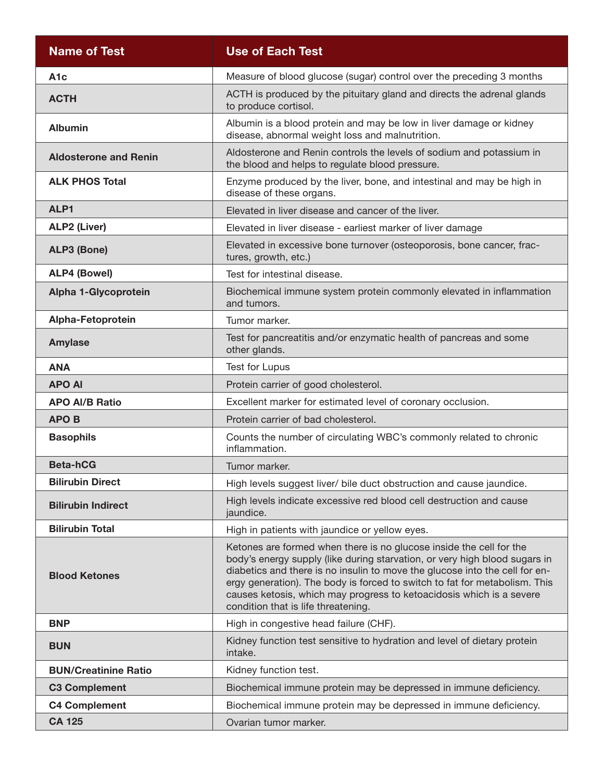| <b>Name of Test</b>          | <b>Use of Each Test</b>                                                                                                                                                                                                                                                                                                                                                                                                       |
|------------------------------|-------------------------------------------------------------------------------------------------------------------------------------------------------------------------------------------------------------------------------------------------------------------------------------------------------------------------------------------------------------------------------------------------------------------------------|
| A <sub>1</sub> c             | Measure of blood glucose (sugar) control over the preceding 3 months                                                                                                                                                                                                                                                                                                                                                          |
| <b>ACTH</b>                  | ACTH is produced by the pituitary gland and directs the adrenal glands<br>to produce cortisol.                                                                                                                                                                                                                                                                                                                                |
| <b>Albumin</b>               | Albumin is a blood protein and may be low in liver damage or kidney<br>disease, abnormal weight loss and malnutrition.                                                                                                                                                                                                                                                                                                        |
| <b>Aldosterone and Renin</b> | Aldosterone and Renin controls the levels of sodium and potassium in<br>the blood and helps to regulate blood pressure.                                                                                                                                                                                                                                                                                                       |
| <b>ALK PHOS Total</b>        | Enzyme produced by the liver, bone, and intestinal and may be high in<br>disease of these organs.                                                                                                                                                                                                                                                                                                                             |
| ALP1                         | Elevated in liver disease and cancer of the liver.                                                                                                                                                                                                                                                                                                                                                                            |
| <b>ALP2 (Liver)</b>          | Elevated in liver disease - earliest marker of liver damage                                                                                                                                                                                                                                                                                                                                                                   |
| <b>ALP3 (Bone)</b>           | Elevated in excessive bone turnover (osteoporosis, bone cancer, frac-<br>tures, growth, etc.)                                                                                                                                                                                                                                                                                                                                 |
| <b>ALP4 (Bowel)</b>          | Test for intestinal disease.                                                                                                                                                                                                                                                                                                                                                                                                  |
| Alpha 1-Glycoprotein         | Biochemical immune system protein commonly elevated in inflammation<br>and tumors.                                                                                                                                                                                                                                                                                                                                            |
| Alpha-Fetoprotein            | Tumor marker.                                                                                                                                                                                                                                                                                                                                                                                                                 |
| <b>Amylase</b>               | Test for pancreatitis and/or enzymatic health of pancreas and some<br>other glands.                                                                                                                                                                                                                                                                                                                                           |
| <b>ANA</b>                   | Test for Lupus                                                                                                                                                                                                                                                                                                                                                                                                                |
| <b>APO AI</b>                | Protein carrier of good cholesterol.                                                                                                                                                                                                                                                                                                                                                                                          |
| <b>APO AI/B Ratio</b>        | Excellent marker for estimated level of coronary occlusion.                                                                                                                                                                                                                                                                                                                                                                   |
| <b>APOB</b>                  | Protein carrier of bad cholesterol.                                                                                                                                                                                                                                                                                                                                                                                           |
| <b>Basophils</b>             | Counts the number of circulating WBC's commonly related to chronic<br>inflammation.                                                                                                                                                                                                                                                                                                                                           |
| <b>Beta-hCG</b>              | Tumor marker.                                                                                                                                                                                                                                                                                                                                                                                                                 |
| <b>Bilirubin Direct</b>      | High levels suggest liver/ bile duct obstruction and cause jaundice.                                                                                                                                                                                                                                                                                                                                                          |
| <b>Bilirubin Indirect</b>    | High levels indicate excessive red blood cell destruction and cause<br>jaundice.                                                                                                                                                                                                                                                                                                                                              |
| <b>Bilirubin Total</b>       | High in patients with jaundice or yellow eyes.                                                                                                                                                                                                                                                                                                                                                                                |
| <b>Blood Ketones</b>         | Ketones are formed when there is no glucose inside the cell for the<br>body's energy supply (like during starvation, or very high blood sugars in<br>diabetics and there is no insulin to move the glucose into the cell for en-<br>ergy generation). The body is forced to switch to fat for metabolism. This<br>causes ketosis, which may progress to ketoacidosis which is a severe<br>condition that is life threatening. |
| <b>BNP</b>                   | High in congestive head failure (CHF).                                                                                                                                                                                                                                                                                                                                                                                        |
| <b>BUN</b>                   | Kidney function test sensitive to hydration and level of dietary protein<br>intake.                                                                                                                                                                                                                                                                                                                                           |
| <b>BUN/Creatinine Ratio</b>  | Kidney function test.                                                                                                                                                                                                                                                                                                                                                                                                         |
| <b>C3 Complement</b>         | Biochemical immune protein may be depressed in immune deficiency.                                                                                                                                                                                                                                                                                                                                                             |
| <b>C4 Complement</b>         | Biochemical immune protein may be depressed in immune deficiency.                                                                                                                                                                                                                                                                                                                                                             |
| <b>CA 125</b>                | Ovarian tumor marker.                                                                                                                                                                                                                                                                                                                                                                                                         |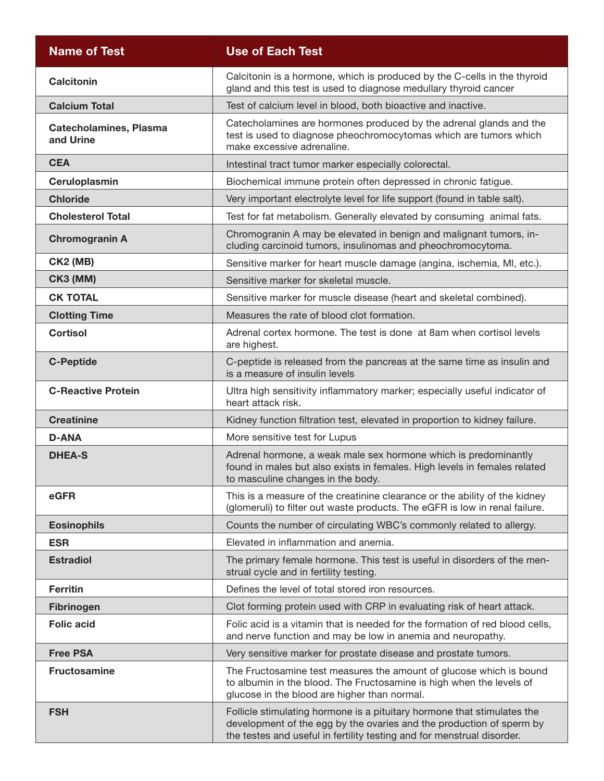| <b>Name of Test</b>                        | <b>Use of Each Test</b>                                                                                                                                                                                                   |
|--------------------------------------------|---------------------------------------------------------------------------------------------------------------------------------------------------------------------------------------------------------------------------|
| <b>Calcitonin</b>                          | Calcitonin is a hormone, which is produced by the C-cells in the thyroid<br>gland and this test is used to diagnose medullary thyroid cancer                                                                              |
| <b>Calcium Total</b>                       | Test of calcium level in blood, both bioactive and inactive.                                                                                                                                                              |
| <b>Catecholamines, Plasma</b><br>and Urine | Catecholamines are hormones produced by the adrenal glands and the<br>test is used to diagnose pheochromocytomas which are tumors which<br>make excessive adrenaline.                                                     |
| <b>CEA</b>                                 | Intestinal tract tumor marker especially colorectal.                                                                                                                                                                      |
| Ceruloplasmin                              | Biochemical immune protein often depressed in chronic fatigue.                                                                                                                                                            |
| <b>Chloride</b>                            | Very important electrolyte level for life support (found in table salt).                                                                                                                                                  |
| <b>Cholesterol Total</b>                   | Test for fat metabolism. Generally elevated by consuming animal fats.                                                                                                                                                     |
| <b>Chromogranin A</b>                      | Chromogranin A may be elevated in benign and malignant tumors, in-<br>cluding carcinoid tumors, insulinomas and pheochromocytoma.                                                                                         |
| <b>CK2 (MB)</b>                            | Sensitive marker for heart muscle damage (angina, ischemia, MI, etc.).                                                                                                                                                    |
| <b>CK3 (MM)</b>                            | Sensitive marker for skeletal muscle.                                                                                                                                                                                     |
| <b>CK TOTAL</b>                            | Sensitive marker for muscle disease (heart and skeletal combined).                                                                                                                                                        |
| <b>Clotting Time</b>                       | Measures the rate of blood clot formation.                                                                                                                                                                                |
| <b>Cortisol</b>                            | Adrenal cortex hormone. The test is done at 8am when cortisol levels<br>are highest.                                                                                                                                      |
| <b>C-Peptide</b>                           | C-peptide is released from the pancreas at the same time as insulin and<br>is a measure of insulin levels                                                                                                                 |
| <b>C-Reactive Protein</b>                  | Ultra high sensitivity inflammatory marker; especially useful indicator of<br>heart attack risk.                                                                                                                          |
| <b>Creatinine</b>                          | Kidney function filtration test, elevated in proportion to kidney failure.                                                                                                                                                |
| <b>D-ANA</b>                               | More sensitive test for Lupus                                                                                                                                                                                             |
| <b>DHEA-S</b>                              | Adrenal hormone, a weak male sex hormone which is predominantly<br>found in males but also exists in females. High levels in females related<br>to masculine changes in the body.                                         |
| eGFR                                       | This is a measure of the creatinine clearance or the ability of the kidney<br>(glomeruli) to filter out waste products. The eGFR is low in renal failure.                                                                 |
| <b>Eosinophils</b>                         | Counts the number of circulating WBC's commonly related to allergy.                                                                                                                                                       |
| <b>ESR</b>                                 | Elevated in inflammation and anemia.                                                                                                                                                                                      |
| <b>Estradiol</b>                           | The primary female hormone. This test is useful in disorders of the men-<br>strual cycle and in fertility testing.                                                                                                        |
| <b>Ferritin</b>                            | Defines the level of total stored iron resources.                                                                                                                                                                         |
| <b>Fibrinogen</b>                          | Clot forming protein used with CRP in evaluating risk of heart attack.                                                                                                                                                    |
| <b>Folic acid</b>                          | Folic acid is a vitamin that is needed for the formation of red blood cells,<br>and nerve function and may be low in anemia and neuropathy.                                                                               |
| <b>Free PSA</b>                            | Very sensitive marker for prostate disease and prostate tumors.                                                                                                                                                           |
| <b>Fructosamine</b>                        | The Fructosamine test measures the amount of glucose which is bound<br>to albumin in the blood. The Fructosamine is high when the levels of<br>glucose in the blood are higher than normal.                               |
| <b>FSH</b>                                 | Follicle stimulating hormone is a pituitary hormone that stimulates the<br>development of the egg by the ovaries and the production of sperm by<br>the testes and useful in fertility testing and for menstrual disorder. |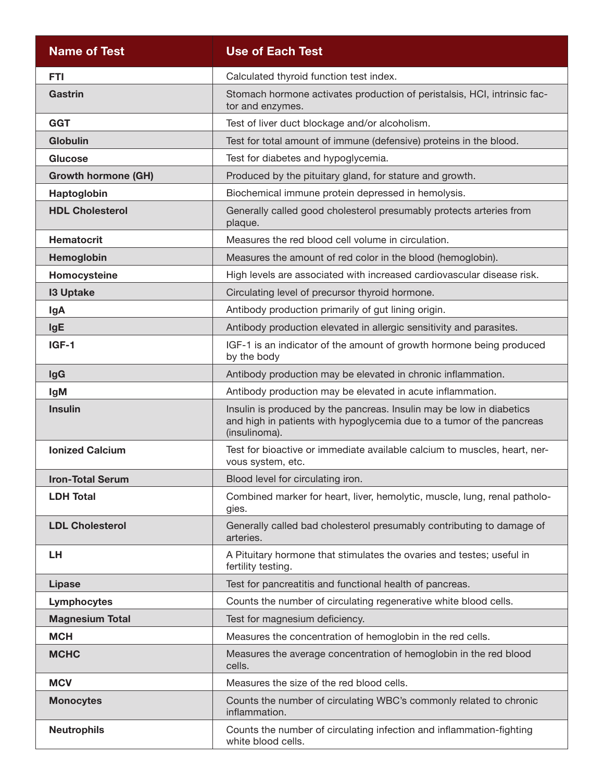| <b>Name of Test</b>        | <b>Use of Each Test</b>                                                                                                                                        |
|----------------------------|----------------------------------------------------------------------------------------------------------------------------------------------------------------|
| <b>FTI</b>                 | Calculated thyroid function test index.                                                                                                                        |
| <b>Gastrin</b>             | Stomach hormone activates production of peristalsis, HCI, intrinsic fac-<br>tor and enzymes.                                                                   |
| <b>GGT</b>                 | Test of liver duct blockage and/or alcoholism.                                                                                                                 |
| <b>Globulin</b>            | Test for total amount of immune (defensive) proteins in the blood.                                                                                             |
| <b>Glucose</b>             | Test for diabetes and hypoglycemia.                                                                                                                            |
| <b>Growth hormone (GH)</b> | Produced by the pituitary gland, for stature and growth.                                                                                                       |
| Haptoglobin                | Biochemical immune protein depressed in hemolysis.                                                                                                             |
| <b>HDL Cholesterol</b>     | Generally called good cholesterol presumably protects arteries from<br>plaque.                                                                                 |
| <b>Hematocrit</b>          | Measures the red blood cell volume in circulation.                                                                                                             |
| Hemoglobin                 | Measures the amount of red color in the blood (hemoglobin).                                                                                                    |
| Homocysteine               | High levels are associated with increased cardiovascular disease risk.                                                                                         |
| <b>13 Uptake</b>           | Circulating level of precursor thyroid hormone.                                                                                                                |
| lgA                        | Antibody production primarily of gut lining origin.                                                                                                            |
| <b>IgE</b>                 | Antibody production elevated in allergic sensitivity and parasites.                                                                                            |
| IGF-1                      | IGF-1 is an indicator of the amount of growth hormone being produced<br>by the body                                                                            |
| <b>IgG</b>                 | Antibody production may be elevated in chronic inflammation.                                                                                                   |
| <b>IgM</b>                 | Antibody production may be elevated in acute inflammation.                                                                                                     |
| <b>Insulin</b>             | Insulin is produced by the pancreas. Insulin may be low in diabetics<br>and high in patients with hypoglycemia due to a tumor of the pancreas<br>(insulinoma). |
| <b>Ionized Calcium</b>     | Test for bioactive or immediate available calcium to muscles, heart, ner-<br>vous system, etc.                                                                 |
| <b>Iron-Total Serum</b>    | Blood level for circulating iron.                                                                                                                              |
| <b>LDH Total</b>           | Combined marker for heart, liver, hemolytic, muscle, lung, renal patholo-<br>gies.                                                                             |
| <b>LDL Cholesterol</b>     | Generally called bad cholesterol presumably contributing to damage of<br>arteries.                                                                             |
| LН                         | A Pituitary hormone that stimulates the ovaries and testes; useful in<br>fertility testing.                                                                    |
| <b>Lipase</b>              | Test for pancreatitis and functional health of pancreas.                                                                                                       |
| Lymphocytes                | Counts the number of circulating regenerative white blood cells.                                                                                               |
| <b>Magnesium Total</b>     | Test for magnesium deficiency.                                                                                                                                 |
| <b>MCH</b>                 | Measures the concentration of hemoglobin in the red cells.                                                                                                     |
| <b>MCHC</b>                | Measures the average concentration of hemoglobin in the red blood<br>cells.                                                                                    |
| <b>MCV</b>                 | Measures the size of the red blood cells.                                                                                                                      |
| <b>Monocytes</b>           | Counts the number of circulating WBC's commonly related to chronic<br>inflammation.                                                                            |
| <b>Neutrophils</b>         | Counts the number of circulating infection and inflammation-fighting<br>white blood cells.                                                                     |